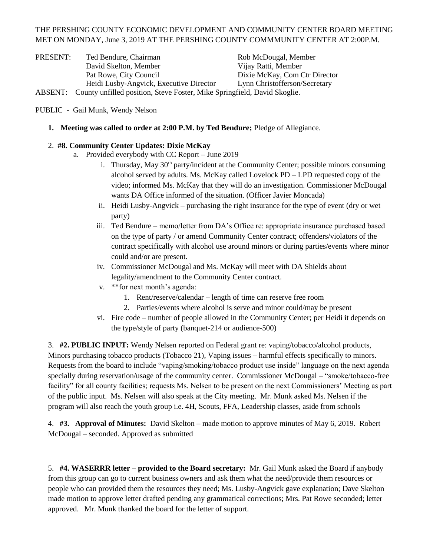## THE PERSHING COUNTY ECONOMIC DEVELOPMENT AND COMMUNITY CENTER BOARD MEETING MET ON MONDAY, June 3, 2019 AT THE PERSHING COUNTY COMMMUNITY CENTER AT 2:00P.M.

| PRESENT: | Ted Bendure, Chairman                                                    | Rob McDougal, Member          |
|----------|--------------------------------------------------------------------------|-------------------------------|
|          | David Skelton, Member                                                    | Vijay Ratti, Member           |
|          | Pat Rowe, City Council                                                   | Dixie McKay, Com Ctr Director |
|          | Heidi Lusby-Angvick, Executive Director                                  | Lynn Christofferson/Secretary |
| ABSENT:  | County unfilled position, Steve Foster, Mike Springfield, David Skoglie. |                               |

PUBLIC - Gail Munk, Wendy Nelson

**1. Meeting was called to order at 2:00 P.M. by Ted Bendure;** Pledge of Allegiance.

## 2. **#8. Community Center Updates: Dixie McKay**

- a. Provided everybody with CC Report June 2019
	- i. Thursday, May  $30<sup>th</sup>$  party/incident at the Community Center; possible minors consuming alcohol served by adults. Ms. McKay called Lovelock PD – LPD requested copy of the video; informed Ms. McKay that they will do an investigation. Commissioner McDougal wants DA Office informed of the situation. (Officer Javier Moncada)
	- ii. Heidi Lusby-Angvick purchasing the right insurance for the type of event (dry or wet party)
	- iii. Ted Bendure memo/letter from DA's Office re: appropriate insurance purchased based on the type of party / or amend Community Center contract; offenders/violators of the contract specifically with alcohol use around minors or during parties/events where minor could and/or are present.
	- iv. Commissioner McDougal and Ms. McKay will meet with DA Shields about legality/amendment to the Community Center contract.
	- v. \*\*for next month's agenda:
		- 1. Rent/reserve/calendar length of time can reserve free room
		- 2. Parties/events where alcohol is serve and minor could/may be present
	- vi. Fire code number of people allowed in the Community Center; per Heidi it depends on the type/style of party (banquet-214 or audience-500)

3. **#2. PUBLIC INPUT:** Wendy Nelsen reported on Federal grant re: vaping/tobacco/alcohol products, Minors purchasing tobacco products (Tobacco 21), Vaping issues – harmful effects specifically to minors. Requests from the board to include "vaping/smoking/tobacco product use inside" language on the next agenda specially during reservation/usage of the community center. Commissioner McDougal – "smoke/tobacco-free facility" for all county facilities; requests Ms. Nelsen to be present on the next Commissioners' Meeting as part of the public input. Ms. Nelsen will also speak at the City meeting. Mr. Munk asked Ms. Nelsen if the program will also reach the youth group i.e. 4H, Scouts, FFA, Leadership classes, aside from schools

4. **#3. Approval of Minutes:** David Skelton – made motion to approve minutes of May 6, 2019. Robert McDougal – seconded. Approved as submitted

5. **#4. WASERRR letter – provided to the Board secretary:** Mr. Gail Munk asked the Board if anybody from this group can go to current business owners and ask them what the need/provide them resources or people who can provided them the resources they need; Ms. Lusby-Angvick gave explanation; Dave Skelton made motion to approve letter drafted pending any grammatical corrections; Mrs. Pat Rowe seconded; letter approved. Mr. Munk thanked the board for the letter of support.